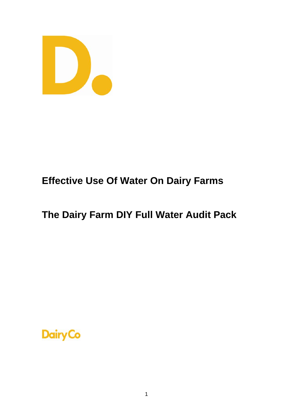

# **Effective Use Of Water On Dairy Farms**

# **The Dairy Farm DIY Full Water Audit Pack**

# **Dairy Co**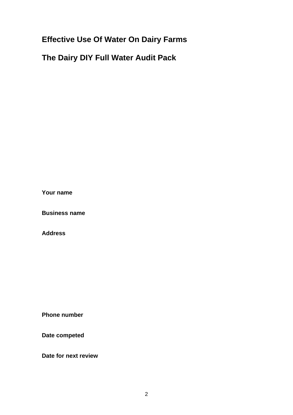# **Effective Use Of Water On Dairy Farms**

# **The Dairy DIY Full Water Audit Pack**

**Your name** 

**Business name** 

**Address** 

**Phone number** 

**Date competed** 

**Date for next review**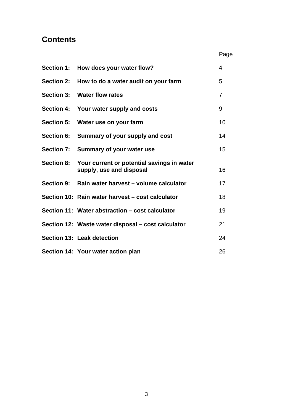# **Contents**

| <b>Section 1:</b> | How does your water flow?                                                         | 4  |
|-------------------|-----------------------------------------------------------------------------------|----|
| <b>Section 2:</b> | How to do a water audit on your farm                                              | 5  |
| <b>Section 3:</b> | <b>Water flow rates</b>                                                           | 7  |
|                   | Section 4: Your water supply and costs                                            | 9  |
| <b>Section 5:</b> | Water use on your farm                                                            | 10 |
| <b>Section 6:</b> | Summary of your supply and cost                                                   | 14 |
|                   | Section 7: Summary of your water use                                              | 15 |
|                   | Section 8: Your current or potential savings in water<br>supply, use and disposal | 16 |
|                   | Section 9: Rain water harvest – volume calculator                                 | 17 |
|                   | Section 10: Rain water harvest – cost calculator                                  | 18 |
|                   | Section 11: Water abstraction – cost calculator                                   | 19 |
|                   | Section 12: Waste water disposal – cost calculator                                | 21 |
|                   | Section 13: Leak detection                                                        | 24 |
|                   | Section 14: Your water action plan                                                | 26 |

**Page Page Page Page**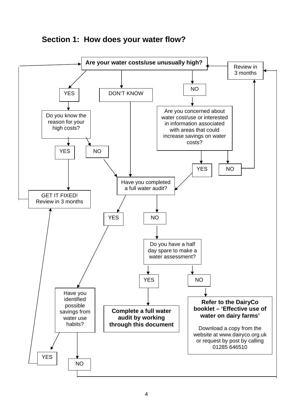

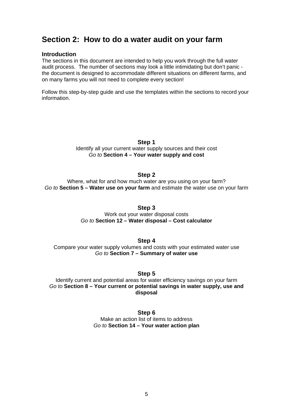# **Section 2: How to do a water audit on your farm**

#### **Introduction**

The sections in this document are intended to help you work through the full water audit process. The number of sections may look a little intimidating but don't panic the document is designed to accommodate different situations on different farms, and on many farms you will not need to complete every section!

Follow this step-by-step guide and use the templates within the sections to record your information.

#### **Step 1**

Identify all your current water supply sources and their cost *Go to* **Section 4 – Your water supply and cost** 

### **Step 2**

Where, what for and how much water are you using on your farm? *Go to* **Section 5 – Water use on your farm** and estimate the water use on your farm

#### **Step 3**

Work out your water disposal costs *Go to* **Section 12 – Water disposal – Cost calculator**

#### **Step 4**

Compare your water supply volumes and costs with your estimated water use *Go to* **Section 7 – Summary of water use**

#### **Step 5**

Identify current and potential areas for water efficiency savings on your farm *Go to* **Section 8** *–* **Your current or potential savings in water supply, use and disposal** 

#### **Step 6**

Make an action list of items to address *Go to* **Section 14 – Your water action plan**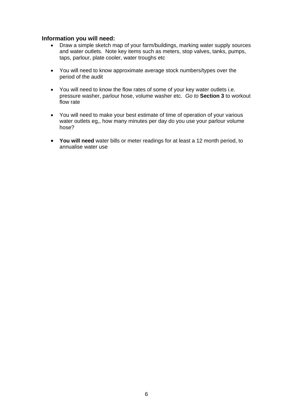### **Information you will need:**

- Draw a simple sketch map of your farm/buildings, marking water supply sources and water outlets. Note key items such as meters, stop valves, tanks, pumps, taps, parlour, plate cooler, water troughs etc
- You will need to know approximate average stock numbers/types over the period of the audit
- You will need to know the flow rates of some of your key water outlets i.e. pressure washer, parlour hose, volume washer etc. *Go to* **Section 3** to workout flow rate
- You will need to make your best estimate of time of operation of your various water outlets eg,, how many minutes per day do you use your parlour volume hose?
- **You will need** water bills or meter readings for at least a 12 month period, to annualise water use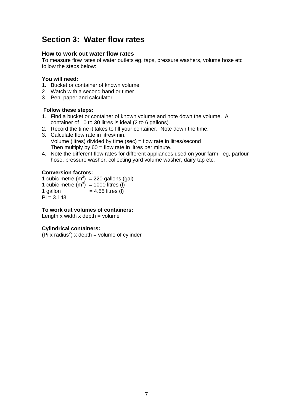# **Section 3: Water flow rates**

### **How to work out water flow rates**

To measure flow rates of water outlets eg, taps, pressure washers, volume hose etc follow the steps below:

### **You will need:**

- 1. Bucket or container of known volume
- 2. Watch with a second hand or timer
- 3. Pen, paper and calculator

### **Follow these steps:**

- 1. Find a bucket or container of known volume and note down the volume. A container of 10 to 30 litres is ideal (2 to 6 gallons).
- 2. Record the time it takes to fill your container. Note down the time.
- 3. Calculate flow rate in litres/min. Volume (litres) divided by time (sec) = flow rate in litres/second Then multiply by  $60 =$  flow rate in litres per minute.
- 4. Note the different flow rates for different appliances used on your farm. eg, parlour hose, pressure washer, collecting yard volume washer, dairy tap etc.

### **Conversion factors:**

1 cubic metre  $(m^3)$  = 220 gallons (gal) 1 cubic metre  $(m^3)$  = 1000 litres (I)  $1$  gallon  $= 4.55$  litres (l)

 $Pi = 3.143$ 

### **To work out volumes of containers:**

Length  $x$  width  $x$  depth  $=$  volume

### **Cylindrical containers:**

 $(\overline{P}i \times \text{radius}^2) \times \text{depth} = \text{volume of cylinder}$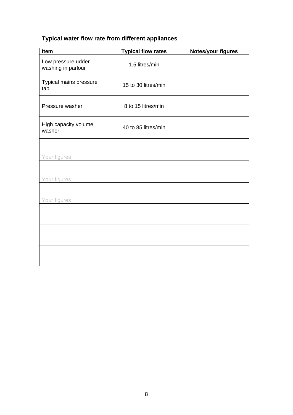# **Typical water flow rate from different appliances**

| Item                                     | <b>Typical flow rates</b> | <b>Notes/your figures</b> |
|------------------------------------------|---------------------------|---------------------------|
| Low pressure udder<br>washing in parlour | 1.5 litres/min            |                           |
| Typical mains pressure<br>tap            | 15 to 30 litres/min       |                           |
| Pressure washer                          | 8 to 15 litres/min        |                           |
| High capacity volume<br>washer           | 40 to 85 litres/min       |                           |
| Your figures                             |                           |                           |
| Your figures                             |                           |                           |
| Your figures                             |                           |                           |
|                                          |                           |                           |
|                                          |                           |                           |
|                                          |                           |                           |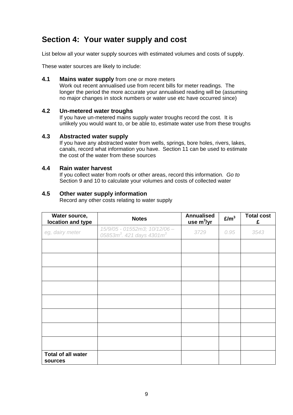# **Section 4: Your water supply and cost**

List below all your water supply sources with estimated volumes and costs of supply.

These water sources are likely to include:

### **4.1 Mains water supply** from one or more meters

Work out recent annualised use from recent bills for meter readings. The longer the period the more accurate your annualised reading will be (assuming no major changes in stock numbers or water use etc have occurred since)

### **4.2 Un-metered water troughs**

If you have un-metered mains supply water troughs record the cost. It is unlikely you would want to, or be able to, estimate water use from these troughs

### **4.3 Abstracted water supply**

If you have any abstracted water from wells, springs, bore holes, rivers, lakes, canals, record what information you have. Section 11 can be used to estimate the cost of the water from these sources

### **4.4 Rain water harvest**

If you collect water from roofs or other areas, record this information. *Go to* Section 9 and 10 to calculate your volumes and costs of collected water

### **4.5 Other water supply information**

Record any other costs relating to water supply

| Water source,<br>location and type   | <b>Notes</b>                                                                       | <b>Annualised</b><br>use $m^3$ /yr | E/m <sup>3</sup> | <b>Total cost</b><br>£ |
|--------------------------------------|------------------------------------------------------------------------------------|------------------------------------|------------------|------------------------|
| eg, dairy meter                      | 15/9/05 - 01552m3; 10/12/06 -<br>05853m <sup>3</sup> . 421 days 4301m <sup>3</sup> | 3729                               | 0.95             | 3543                   |
|                                      |                                                                                    |                                    |                  |                        |
|                                      |                                                                                    |                                    |                  |                        |
|                                      |                                                                                    |                                    |                  |                        |
|                                      |                                                                                    |                                    |                  |                        |
|                                      |                                                                                    |                                    |                  |                        |
|                                      |                                                                                    |                                    |                  |                        |
|                                      |                                                                                    |                                    |                  |                        |
|                                      |                                                                                    |                                    |                  |                        |
| <b>Total of all water</b><br>sources |                                                                                    |                                    |                  |                        |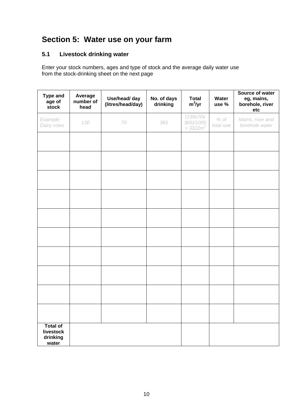# **Section 5: Water use on your farm**

# **5.1 Livestock drinking water**

Enter your stock numbers, ages and type of stock and the average daily water use from the stock-drinking sheet on the next page

| <b>Type and</b><br>age of<br>stock                | Average<br>number of<br>head | Use/head/ day<br>(litres/head/day) | No. of days<br>drinking | <b>Total</b><br>$m^3$ /yr             | Water<br>use %      | Source of water<br>eg, mains,<br>borehole, river<br>etc |
|---------------------------------------------------|------------------------------|------------------------------------|-------------------------|---------------------------------------|---------------------|---------------------------------------------------------|
| Example:<br>Dairy cows                            | 130                          | 70                                 | 365                     | (130x70x<br>365)/1000<br>$= 3322 m^3$ | $%$ of<br>total use | Mains, river and<br>borehole water                      |
|                                                   |                              |                                    |                         |                                       |                     |                                                         |
|                                                   |                              |                                    |                         |                                       |                     |                                                         |
|                                                   |                              |                                    |                         |                                       |                     |                                                         |
|                                                   |                              |                                    |                         |                                       |                     |                                                         |
|                                                   |                              |                                    |                         |                                       |                     |                                                         |
|                                                   |                              |                                    |                         |                                       |                     |                                                         |
|                                                   |                              |                                    |                         |                                       |                     |                                                         |
|                                                   |                              |                                    |                         |                                       |                     |                                                         |
|                                                   |                              |                                    |                         |                                       |                     |                                                         |
|                                                   |                              |                                    |                         |                                       |                     |                                                         |
| <b>Total of</b><br>livestock<br>drinking<br>water |                              |                                    |                         |                                       |                     |                                                         |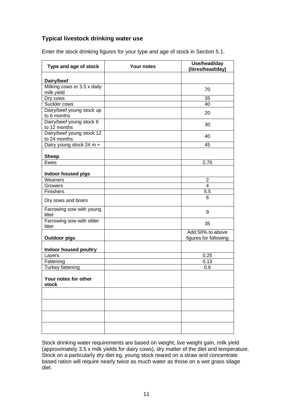## **Typical livestock drinking water use**

| Type and age of stock                     | <b>Your notes</b> | Use/head/day<br>(litres/head/day)         |
|-------------------------------------------|-------------------|-------------------------------------------|
| Dairy/beef                                |                   |                                           |
| Milking cows or 3.5 x daily<br>milk yield |                   | 70                                        |
| Dry cows                                  |                   | 35                                        |
| Suckler cows                              |                   | 40                                        |
| Dairy/beef young stock up<br>to 6 months  |                   | 20                                        |
| Dairy/beef young stock 6<br>to 12 months  |                   | 30                                        |
| Dairy/beef young stock 12<br>to 24 months |                   | 40                                        |
| Dairy young stock 24 m +                  |                   | 45                                        |
|                                           |                   |                                           |
| <b>Sheep</b><br>Ewes                      |                   | 2.75                                      |
|                                           |                   |                                           |
| Indoor housed pigs                        |                   |                                           |
| Weaners<br>Growers                        |                   | $\overline{2}$<br>4                       |
| <b>Finishers</b>                          |                   | 5.5                                       |
|                                           |                   | 6                                         |
| Dry sows and boars                        |                   |                                           |
| Farrowing sow with young<br>litter        |                   | 9                                         |
| Farrowing sow with older<br>litter        |                   | 35                                        |
| <b>Outdoor pigs</b>                       |                   | Add 50% to above<br>figures for following |
| Indoor housed poultry                     |                   |                                           |
| Layers                                    |                   | 0.25                                      |
| Fattening                                 |                   | 0.13                                      |
| <b>Turkey fattening</b>                   |                   | 0.6                                       |
| Your notes for other<br>stock             |                   |                                           |
|                                           |                   |                                           |
|                                           |                   |                                           |
|                                           |                   |                                           |
|                                           |                   |                                           |

Enter the stock drinking figures for your type and age of stock in Section 5.1.

Stock drinking water requirements are based on weight, live weight gain, milk yield (approximately 3.5 x milk yields for dairy cows), dry matter of the diet and temperature. Stock on a particularly dry diet eg, young stock reared on a straw and concentrate based ration will require nearly twice as much water as those on a wet grass silage diet.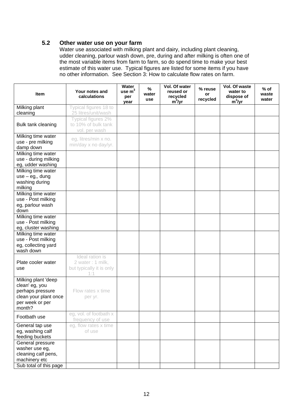## **5.2 Other water use on your farm**

Water use associated with milking plant and dairy, including plant cleaning, udder cleaning, parlour wash down, pre, during and after milking is often one of the most variable items from farm to farm, so do spend time to make your best estimate of this water use. Typical figures are listed for some items if you have no other information. See Section 3: How to calculate flow rates on farm.

| <b>Item</b>                                                                                                     | Your notes and<br>calculations                                          | Water<br>use $m3$<br>per<br>year | $\%$<br>water<br>use | Vol. Of water<br>reused or<br>recycled<br>$m^3$ /yr | % reuse<br>or<br>recycled | Vol. Of waste<br>water to<br>dispose of<br>$m^3$ /yr | $%$ of<br>waste<br>water |
|-----------------------------------------------------------------------------------------------------------------|-------------------------------------------------------------------------|----------------------------------|----------------------|-----------------------------------------------------|---------------------------|------------------------------------------------------|--------------------------|
| Milking plant<br>cleaning                                                                                       | Typical figures 18 to<br>25 litres/unit/wash                            |                                  |                      |                                                     |                           |                                                      |                          |
| Bulk tank cleaning                                                                                              | Typical figures 2%<br>to 10% of bulk tank<br>vol. per wash              |                                  |                      |                                                     |                           |                                                      |                          |
| Milking time water<br>use - pre milking<br>damp down                                                            | eg, litres/min x no.<br>min/day x no day/yr.                            |                                  |                      |                                                     |                           |                                                      |                          |
| Milking time water<br>use - during milking<br>eg, udder washing                                                 |                                                                         |                                  |                      |                                                     |                           |                                                      |                          |
| Milking time water<br>$use - eg, dung$<br>washing during<br>milking                                             |                                                                         |                                  |                      |                                                     |                           |                                                      |                          |
| Milking time water<br>use - Post milking<br>eg, parlour wash<br>down                                            |                                                                         |                                  |                      |                                                     |                           |                                                      |                          |
| Milking time water<br>use - Post milking<br>eg, cluster washing                                                 |                                                                         |                                  |                      |                                                     |                           |                                                      |                          |
| Milking time water<br>use - Post milking<br>eg, collecting yard<br>wash down                                    |                                                                         |                                  |                      |                                                     |                           |                                                      |                          |
| Plate cooler water<br>use                                                                                       | Ideal ration is<br>2 water : 1 milk,<br>but typically it is only<br>1:1 |                                  |                      |                                                     |                           |                                                      |                          |
| Milking plant 'deep<br>clean' eg, you<br>perhaps pressure<br>clean your plant once<br>per week or per<br>month? | Flow rates x time<br>per yr.                                            |                                  |                      |                                                     |                           |                                                      |                          |
| Footbath use                                                                                                    | eg, vol. of footbath x<br>frequency of use                              |                                  |                      |                                                     |                           |                                                      |                          |
| General tap use<br>eg, washing calf<br>feeding buckets                                                          | eg, flow rates x time<br>of use                                         |                                  |                      |                                                     |                           |                                                      |                          |
| General pressure<br>washer use eg,<br>cleaning calf pens,<br>machinery etc<br>Sub total of this page            |                                                                         |                                  |                      |                                                     |                           |                                                      |                          |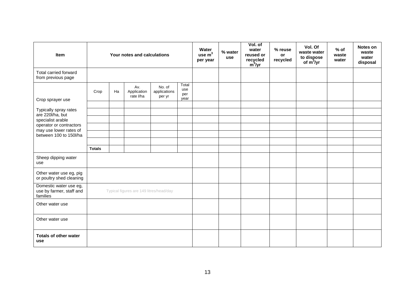| Item                                                           | Your notes and calculations             |    |                                 |                                  | Water<br>use $m3$<br>per year | % water<br>use | Vol. of<br>water<br>reused or<br>recycled<br>$m^3$ /yr | % reuse<br>or<br>recycled | Vol. Of<br>waste water<br>to dispose<br>of $m^3$ /yr | $%$ of<br>waste<br>water | Notes on<br>waste<br>water<br>disposal |  |
|----------------------------------------------------------------|-----------------------------------------|----|---------------------------------|----------------------------------|-------------------------------|----------------|--------------------------------------------------------|---------------------------|------------------------------------------------------|--------------------------|----------------------------------------|--|
| Total carried forward<br>from previous page                    |                                         |    |                                 |                                  |                               |                |                                                        |                           |                                                      |                          |                                        |  |
| Crop sprayer use                                               | Crop                                    | Ha | Av.<br>Application<br>rate I/ha | No. of<br>applications<br>per yr | Total<br>use<br>per<br>year   |                |                                                        |                           |                                                      |                          |                                        |  |
| Typically spray rates                                          |                                         |    |                                 |                                  |                               |                |                                                        |                           |                                                      |                          |                                        |  |
| are 220l/ha, but<br>specialist arable                          |                                         |    |                                 |                                  |                               |                |                                                        |                           |                                                      |                          |                                        |  |
| operator or contractors<br>may use lower rates of              |                                         |    |                                 |                                  |                               |                |                                                        |                           |                                                      |                          |                                        |  |
| between 100 to 150l/ha                                         |                                         |    |                                 |                                  |                               |                |                                                        |                           |                                                      |                          |                                        |  |
|                                                                | <b>Totals</b>                           |    |                                 |                                  |                               |                |                                                        |                           |                                                      |                          |                                        |  |
| Sheep dipping water<br>use                                     |                                         |    |                                 |                                  |                               |                |                                                        |                           |                                                      |                          |                                        |  |
| Other water use eg, pig<br>or poultry shed cleaning            |                                         |    |                                 |                                  |                               |                |                                                        |                           |                                                      |                          |                                        |  |
| Domestic water use eg,<br>use by farmer, staff and<br>families | Typical figures are 149 litres/head/day |    |                                 |                                  |                               |                |                                                        |                           |                                                      |                          |                                        |  |
| Other water use                                                |                                         |    |                                 |                                  |                               |                |                                                        |                           |                                                      |                          |                                        |  |
| Other water use                                                |                                         |    |                                 |                                  |                               |                |                                                        |                           |                                                      |                          |                                        |  |
| <b>Totals of other water</b><br>use                            |                                         |    |                                 |                                  |                               |                |                                                        |                           |                                                      |                          |                                        |  |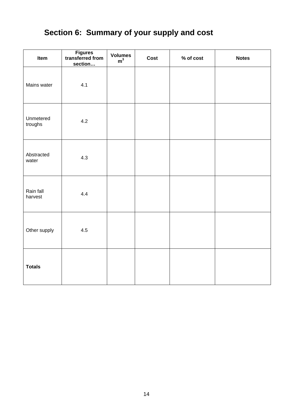# **Section 6: Summary of your supply and cost**

| Item                 | Figures<br>transferred from<br>section | Volumes $m^3$ | Cost | % of cost | <b>Notes</b> |
|----------------------|----------------------------------------|---------------|------|-----------|--------------|
| Mains water          | 4.1                                    |               |      |           |              |
| Unmetered<br>troughs | 4.2                                    |               |      |           |              |
| Abstracted<br>water  | 4.3                                    |               |      |           |              |
| Rain fall<br>harvest | 4.4                                    |               |      |           |              |
| Other supply         | 4.5                                    |               |      |           |              |
| <b>Totals</b>        |                                        |               |      |           |              |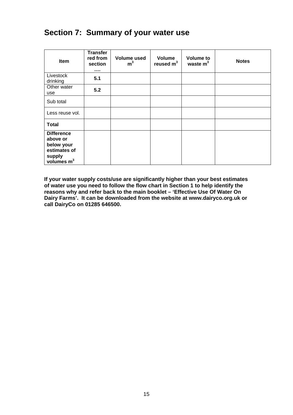# **Section 7: Summary of your water use**

| Item                                                                                  | <b>Transfer</b><br>red from<br>section<br> | Volume used<br>m <sup>3</sup> | Volume<br>reused $m3$ | <b>Volume to</b><br>waste $m3$ | <b>Notes</b> |
|---------------------------------------------------------------------------------------|--------------------------------------------|-------------------------------|-----------------------|--------------------------------|--------------|
| Livestock<br>drinking                                                                 | 5.1                                        |                               |                       |                                |              |
| Other water<br>use                                                                    | 5.2                                        |                               |                       |                                |              |
| Sub total                                                                             |                                            |                               |                       |                                |              |
| Less reuse vol.                                                                       |                                            |                               |                       |                                |              |
| <b>Total</b>                                                                          |                                            |                               |                       |                                |              |
| <b>Difference</b><br>above or<br>below your<br>estimates of<br>supply<br>volumes $m3$ |                                            |                               |                       |                                |              |

**If your water supply costs/use are significantly higher than your best estimates of water use you need to follow the flow chart in Section 1 to help identify the reasons why and refer back to the main booklet – 'Effective Use Of Water On Dairy Farms'. It can be downloaded from the website at www.dairyco.org.uk or call DairyCo on 01285 646500.**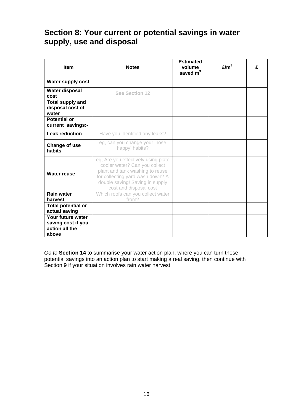# **Section 8: Your current or potential savings in water supply, use and disposal**

| <b>Item</b>                                                        | <b>Notes</b>                                                                                                                                                                                             | <b>Estimated</b><br>volume<br>saved $m3$ | E/m <sup>3</sup> | £ |
|--------------------------------------------------------------------|----------------------------------------------------------------------------------------------------------------------------------------------------------------------------------------------------------|------------------------------------------|------------------|---|
| Water supply cost                                                  |                                                                                                                                                                                                          |                                          |                  |   |
| Water disposal<br>cost                                             | <b>See Section 12</b>                                                                                                                                                                                    |                                          |                  |   |
| <b>Total supply and</b><br>disposal cost of<br>water               |                                                                                                                                                                                                          |                                          |                  |   |
| <b>Potential or</b><br>current savings:-                           |                                                                                                                                                                                                          |                                          |                  |   |
| <b>Leak reduction</b>                                              | Have you identified any leaks?                                                                                                                                                                           |                                          |                  |   |
| Change of use<br>habits                                            | eg, can you change your 'hose<br>happy' habits?                                                                                                                                                          |                                          |                  |   |
| <b>Water reuse</b>                                                 | eg, Are you effectively using plate<br>cooler water? Can you collect<br>plant and tank washing to reuse<br>for collecting yard wash down? A<br>double saving! Saving in supply<br>cost and disposal cost |                                          |                  |   |
| <b>Rain water</b><br>harvest                                       | Which roofs can you collect water<br>from?                                                                                                                                                               |                                          |                  |   |
| <b>Total potential or</b><br>actual saving                         |                                                                                                                                                                                                          |                                          |                  |   |
| Your future water<br>saving cost if you<br>action all the<br>above |                                                                                                                                                                                                          |                                          |                  |   |

*Go to* **Section 14** to summarise your water action plan, where you can turn these potential savings into an action plan to start making a real saving, then continue with Section 9 if your situation involves rain water harvest.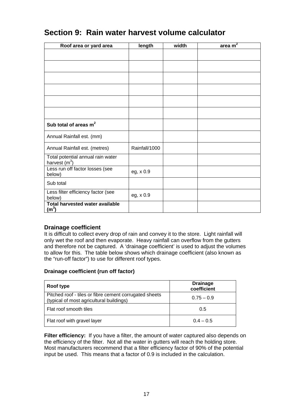| Roof area or yard area                               | length        | width | $\frac{area}{m^2}$ |
|------------------------------------------------------|---------------|-------|--------------------|
|                                                      |               |       |                    |
|                                                      |               |       |                    |
|                                                      |               |       |                    |
|                                                      |               |       |                    |
|                                                      |               |       |                    |
|                                                      |               |       |                    |
|                                                      |               |       |                    |
| Sub total of areas $m2$                              |               |       |                    |
| Annual Rainfall est. (mm)                            |               |       |                    |
| Annual Rainfall est. (metres)                        | Rainfall/1000 |       |                    |
| Total potential annual rain water<br>harvest $(m^3)$ |               |       |                    |
| Less run off factor losses (see<br>below)            | eg, x 0.9     |       |                    |
| Sub total                                            |               |       |                    |
| Less filter efficiency factor (see<br>below)         | eg, x 0.9     |       |                    |
| Total harvested water available<br>(m <sup>3</sup> ) |               |       |                    |

# **Section 9: Rain water harvest volume calculator**

## **Drainage coefficient**

It is difficult to collect every drop of rain and convey it to the store. Light rainfall will only wet the roof and then evaporate. Heavy rainfall can overflow from the gutters and therefore not be captured. A 'drainage coefficient' is used to adjust the volumes to allow for this. The table below shows which drainage coefficient (also known as the "run-off factor") to use for different roof types.

### **Drainage coefficient (run off factor)**

| Roof type                                                                                          | <b>Drainage</b><br>coefficient |
|----------------------------------------------------------------------------------------------------|--------------------------------|
| Pitched roof - tiles or fibre cement corrugated sheets<br>(typical of most agricultural buildings) | $0.75 - 0.9$                   |
| Flat roof smooth tiles                                                                             | 0.5                            |
| Flat roof with gravel layer                                                                        | $0.4 - 0.5$                    |

**Filter efficiency:** If you have a filter, the amount of water captured also depends on the efficiency of the filter. Not all the water in gutters will reach the holding store. Most manufacturers recommend that a filter efficiency factor of 90% of the potential input be used. This means that a factor of 0.9 is included in the calculation.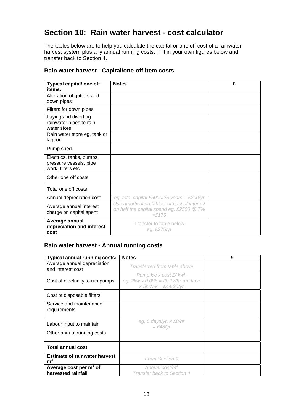# **Section 10: Rain water harvest - cost calculator**

The tables below are to help you calculate the capital or one off cost of a rainwater harvest system plus any annual running costs. Fill in your own figures below and transfer back to Section 4.

| Typical capital/ one off                                                | <b>Notes</b>                                                                                              | £ |
|-------------------------------------------------------------------------|-----------------------------------------------------------------------------------------------------------|---|
| items:<br>Alteration of gutters and                                     |                                                                                                           |   |
| down pipes                                                              |                                                                                                           |   |
| Filters for down pipes                                                  |                                                                                                           |   |
| Laying and diverting                                                    |                                                                                                           |   |
| rainwater pipes to rain<br>water store                                  |                                                                                                           |   |
| Rain water store eg, tank or<br>lagoon                                  |                                                                                                           |   |
| Pump shed                                                               |                                                                                                           |   |
| Electrics, tanks, pumps,<br>pressure vessels, pipe<br>work, filters etc |                                                                                                           |   |
| Other one off costs                                                     |                                                                                                           |   |
| Total one off costs                                                     |                                                                                                           |   |
| Annual depreciation cost                                                | eg, total capital £5000/25 years = £200/yr                                                                |   |
| Average annual interest<br>charge on capital spent                      | Use amortisation tables, or cost of interest<br>on half the capital spend eg, £2500 @ 7%<br>$=\pounds175$ |   |
| Average annual<br>depreciation and interest<br>cost                     | Transfer to table below<br>eg, £375/yr                                                                    |   |

## **Rain water harvest - Capital/one-off item costs**

### **Rain water harvest - Annual running costs**

| <b>Typical annual running costs:</b>                     | <b>Notes</b>                                                                                  | £ |
|----------------------------------------------------------|-----------------------------------------------------------------------------------------------|---|
| Average annual depreciation<br>and interest cost         | Transferred from table above                                                                  |   |
| Cost of electricity to run pumps                         | Pump kw x cost £/ kwh<br>eg, $2kw \times 0.085 = £0.17/hr$ run time<br>x $5hr/wk = £44.20/yr$ |   |
| Cost of disposable filters                               |                                                                                               |   |
| Service and maintenance<br>requirements                  |                                                                                               |   |
| Labour input to maintain                                 | eg, 6 days/yr. x £8/hr<br>$=$ £48/vr                                                          |   |
| Other annual running costs                               |                                                                                               |   |
| <b>Total annual cost</b>                                 |                                                                                               |   |
| <b>Estimate of rainwater harvest</b><br>m <sup>3</sup>   | From Section 9                                                                                |   |
| Average cost per m <sup>3</sup> of<br>harvested rainfall | Annual cost/m <sup>3</sup><br>Transfer back to Section 4                                      |   |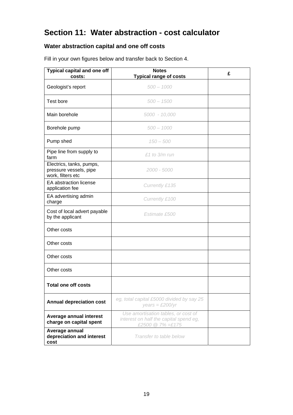# **Section 11: Water abstraction - cost calculator**

# **Water abstraction capital and one off costs**

| Typical capital and one off<br>costs:                                   | <b>Notes</b><br><b>Typical range of costs</b>                                                     | £ |
|-------------------------------------------------------------------------|---------------------------------------------------------------------------------------------------|---|
| Geologist's report                                                      | $500 - 1000$                                                                                      |   |
| Test bore                                                               | $500 - 1500$                                                                                      |   |
| Main borehole                                                           | 5000 - 10,000                                                                                     |   |
| Borehole pump                                                           | $500 - 1000$                                                                                      |   |
| Pump shed                                                               | $150 - 500$                                                                                       |   |
| Pipe line from supply to<br>farm                                        | $£1$ to $3/m$ run                                                                                 |   |
| Electrics, tanks, pumps,<br>pressure vessels, pipe<br>work, filters etc | 2000 - 5000                                                                                       |   |
| EA abstraction license<br>application fee                               | Currently £135                                                                                    |   |
| EA advertising admin<br>charge                                          | Currently £100                                                                                    |   |
| Cost of local advert payable<br>by the applicant                        | Estimate £500                                                                                     |   |
| Other costs                                                             |                                                                                                   |   |
| Other costs                                                             |                                                                                                   |   |
| Other costs                                                             |                                                                                                   |   |
| Other costs                                                             |                                                                                                   |   |
| <b>Total one off costs</b>                                              |                                                                                                   |   |
| <b>Annual depreciation cost</b>                                         | eg, total capital £5000 divided by say 25<br>$years = £200/yr$                                    |   |
| Average annual interest<br>charge on capital spent                      | Use amortisation tables, or cost of<br>interest on half the capital spend eg,<br>£2500 @ 7% =£175 |   |
| Average annual<br>depreciation and interest<br>cost                     | Transfer to table below                                                                           |   |

Fill in your own figures below and transfer back to Section 4.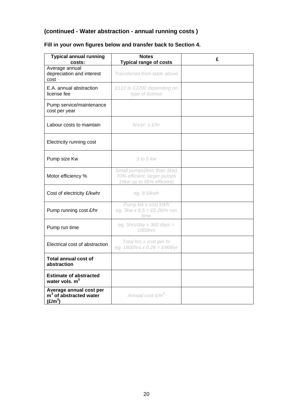# **(continued - Water abstraction - annual running costs )**

| <b>Typical annual running</b><br>costs:                                    | <b>Notes</b><br><b>Typical range of costs</b>                                          | £ |
|----------------------------------------------------------------------------|----------------------------------------------------------------------------------------|---|
| Average annual<br>depreciation and interest<br>cost                        | Transferred from table above                                                           |   |
| E.A. annual abstraction<br>license fee                                     | £110 to £2200 depending on<br>type of license                                          |   |
| Pump service/maintenance<br>cost per year                                  |                                                                                        |   |
| Labour costs to maintain                                                   | hrs/yr. x £/hr                                                                         |   |
| Electricity running cost                                                   |                                                                                        |   |
| Pump size Kw                                                               | 3 to 5 kw                                                                              |   |
| Motor efficiency %                                                         | Small pumps(less than 1kw)<br>70% efficient; larger pumps<br>15kw up to 95% efficient) |   |
| Cost of electricity £/kwhr                                                 | eg, 8.5/kwh                                                                            |   |
| Pump running cost £/hr                                                     | Pump kw x cost kWh<br>eg, $3kw \times 8.5 = \text{\pounds}0.26/hr$ run<br>time         |   |
| Pump run time                                                              | eg, 5hrs/day x 360 days =<br>1800hrs                                                   |   |
| Electrical cost of abstraction                                             | Total hrs x cost per hr<br>eg, 1800hrs x 0.26 = £468/yr                                |   |
| <b>Total annual cost of</b><br>abstraction                                 |                                                                                        |   |
| <b>Estimate of abstracted</b><br>water vols. m <sup>3</sup>                |                                                                                        |   |
| Average annual cost per<br>$m3$ of abstracted water<br>(E/m <sup>3</sup> ) | Annual cost £/m <sup>3</sup>                                                           |   |

# **Fill in your own figures below and transfer back to Section 4.**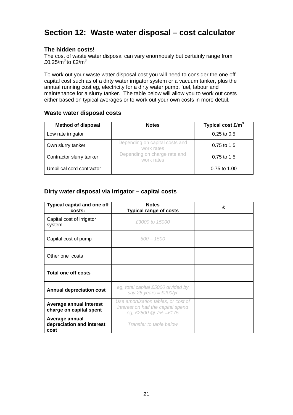# **Section 12: Waste water disposal – cost calculator**

### **The hidden costs!**

The cost of waste water disposal can vary enormously but certainly range from £0.25/ $m^3$  to £2/ $m^3$ 

To work out your waste water disposal cost you will need to consider the one off capital cost such as of a dirty water irrigator system or a vacuum tanker, plus the annual running cost eg, electricity for a dirty water pump, fuel, labour and maintenance for a slurry tanker. The table below will allow you to work out costs either based on typical averages or to work out your own costs in more detail.

### **Waste water disposal costs**

| <b>Method of disposal</b> | <b>Notes</b>                                 | Typical cost $E/m3$ |
|---------------------------|----------------------------------------------|---------------------|
| Low rate irrigator        |                                              | $0.25$ to $0.5$     |
| Own slurry tanker         | Depending on capital costs and<br>work rates | $0.75$ to 1.5       |
| Contractor slurry tanker  | Depending on charge rate and<br>work rates   | $0.75$ to 1.5       |
| Umbilical cord contractor |                                              | 0.75 to 1.00        |

## **Dirty water disposal via irrigator – capital costs**

| <b>Typical capital and one off</b><br>costs:        | <b>Notes</b><br><b>Typical range of costs</b>                                                         | £ |
|-----------------------------------------------------|-------------------------------------------------------------------------------------------------------|---|
| Capital cost of irrigator<br>system                 | £3000 to 15000                                                                                        |   |
| Capital cost of pump                                | $500 - 1500$                                                                                          |   |
| Other one costs                                     |                                                                                                       |   |
| <b>Total one off costs</b>                          |                                                                                                       |   |
| <b>Annual depreciation cost</b>                     | eg, total capital £5000 divided by<br>say 25 years = £200/yr                                          |   |
| Average annual interest<br>charge on capital spent  | Use amortisation tables, or cost of<br>interest on half the capital spend<br>eg, £2500 $@ 7\% = £175$ |   |
| Average annual<br>depreciation and interest<br>cost | Transfer to table below                                                                               |   |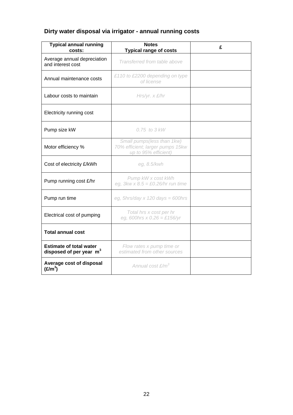# **Dirty water disposal via irrigator - annual running costs**

| <b>Typical annual running</b><br>costs:                               | <b>Notes</b><br><b>Typical range of costs</b>                                          | £ |
|-----------------------------------------------------------------------|----------------------------------------------------------------------------------------|---|
| Average annual depreciation<br>and interest cost                      | Transferred from table above                                                           |   |
| Annual maintenance costs                                              | £110 to £2200 depending on type<br>of license                                          |   |
| Labour costs to maintain                                              | $Hrs/yr.$ x $£/hr$                                                                     |   |
| Electricity running cost                                              |                                                                                        |   |
| Pump size kW                                                          | $0.75$ to $3$ kW                                                                       |   |
| Motor efficiency %                                                    | Small pumps(less than 1kw)<br>70% efficient; larger pumps 15kw<br>up to 95% efficient) |   |
| Cost of electricity £/kWh                                             | eg, 8.5/kwh                                                                            |   |
| Pump running cost £/hr                                                | Pump kW x cost kWh<br>eg, $3kw \times 8.5 = \text{\pounds}0.26/hr$ run time            |   |
| Pump run time                                                         | eg, 5hrs/day x 120 days = 600hrs                                                       |   |
| Electrical cost of pumping                                            | Total hrs x cost per hr<br>eg, 600hrs x $0.26 = \text{\textsterling}156/\text{yr}$     |   |
| <b>Total annual cost</b>                                              |                                                                                        |   |
| <b>Estimate of total water</b><br>disposed of per year m <sup>3</sup> | Flow rates x pump time or<br>estimated from other sources                              |   |
| Average cost of disposal<br>(E/m <sup>3</sup> )                       | Annual cost £/m <sup>3</sup>                                                           |   |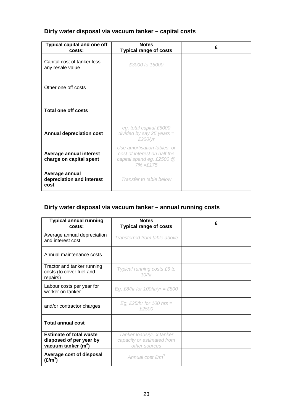# **Dirty water disposal via vacuum tanker – capital costs**

| <b>Typical capital and one off</b><br>costs:        | <b>Notes</b><br><b>Typical range of costs</b>                                                            | £ |
|-----------------------------------------------------|----------------------------------------------------------------------------------------------------------|---|
| Capital cost of tanker less<br>any resale value     | £3000 to 15000                                                                                           |   |
| Other one off costs                                 |                                                                                                          |   |
| <b>Total one off costs</b>                          |                                                                                                          |   |
| <b>Annual depreciation cost</b>                     | eg, total capital £5000<br>divided by say 25 years $=$<br>£200/yr                                        |   |
| Average annual interest<br>charge on capital spent  | Use amortisation tables, or<br>cost of interest on half the<br>capital spend eg, £2500 @<br>$7\% = £175$ |   |
| Average annual<br>depreciation and interest<br>cost | Transfer to table below                                                                                  |   |

# **Dirty water disposal via vacuum tanker – annual running costs**

| <b>Typical annual running</b><br>costs:                                            | <b>Notes</b><br><b>Typical range of costs</b>                            | £ |
|------------------------------------------------------------------------------------|--------------------------------------------------------------------------|---|
| Average annual depreciation<br>and interest cost                                   | Transferred from table above                                             |   |
| Annual maintenance costs                                                           |                                                                          |   |
| Tractor and tanker running<br>costs (to cover fuel and<br>repairs)                 | Typical running costs £6 to<br>10/hr                                     |   |
| Labour costs per year for<br>worker on tanker                                      | Eg, £8/hr for 100hr/yr = £800                                            |   |
| and/or contractor charges                                                          | Eg, £25/hr for 100 hrs $=$<br>£2500                                      |   |
| <b>Total annual cost</b>                                                           |                                                                          |   |
| <b>Estimate of total waste</b><br>disposed of per year by<br>vacuum tanker $(m^3)$ | Tanker loads/yr. x tanker<br>capacity or estimated from<br>other sources |   |
| Average cost of disposal<br>(£/m $^3$ )                                            | Annual cost £/m <sup>3</sup>                                             |   |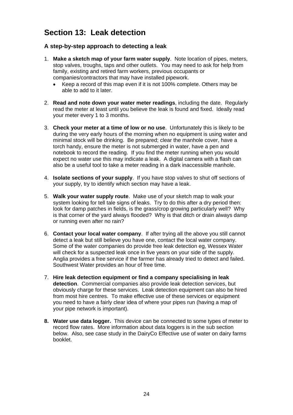# **Section 13: Leak detection**

## **A step-by-step approach to detecting a leak**

- 1. **Make a sketch map of your farm water supply**. Note location of pipes, meters, stop valves, troughs, taps and other outlets. You may need to ask for help from family, existing and retired farm workers, previous occupants or companies/contractors that may have installed pipework.
	- Keep a record of this map even if it is not 100% complete. Others may be able to add to it later.
- 2. **Read and note down your water meter readings**, including the date. Regularly read the meter at least until you believe the leak is found and fixed. Ideally read your meter every 1 to 3 months.
- 3. **Check your meter at a time of low or no use**. Unfortunately this is likely to be during the very early hours of the morning when no equipment is using water and minimal stock will be drinking. Be prepared; clear the manhole cover, have a torch handy, ensure the meter is not submerged in water, have a pen and notebook to record the reading. If you find the meter running when you would expect no water use this may indicate a leak. A digital camera with a flash can also be a useful tool to take a meter reading in a dark inaccessible manhole.
- 4. **Isolate sections of your supply**. If you have stop valves to shut off sections of your supply, try to identify which section may have a leak.
- 5. **Walk your water supply route**. Make use of your sketch map to walk your system looking for tell tale signs of leaks. Try to do this after a dry period then: look for damp patches in fields, is the grass/crop growing particularly well? Why is that corner of the yard always flooded? Why is that ditch or drain always damp or running even after no rain?
- 6. **Contact your local water company**. If after trying all the above you still cannot detect a leak but still believe you have one, contact the local water company. Some of the water companies do provide free leak detection eg, Wessex Water will check for a suspected leak once in five years on your side of the supply. Anglia provides a free service if the farmer has already tried to detect and failed. Southwest Water provides an hour of free time.
- 7. **Hire leak detection equipment or find a company specialising in leak detection**. Commercial companies also provide leak detection services, but obviously charge for these services. Leak detection equipment can also be hired from most hire centres. To make effective use of these services or equipment you need to have a fairly clear idea of where your pipes run (having a map of your pipe network is important).
- **8. Water use data logger.** This device can be connected to some types of meter to record flow rates. More information about data loggers is in the sub section below. Also, see case study in the DairyCo Effective use of water on dairy farms booklet.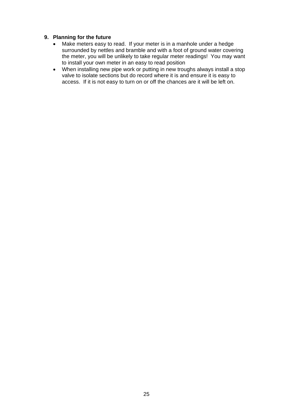### **9. Planning for the future**

- Make meters easy to read. If your meter is in a manhole under a hedge surrounded by nettles and bramble and with a foot of ground water covering the meter, you will be unlikely to take regular meter readings! You may want to install your own meter in an easy to read position
- When installing new pipe work or putting in new troughs always install a stop valve to isolate sections but do record where it is and ensure it is easy to access. If it is not easy to turn on or off the chances are it will be left on.